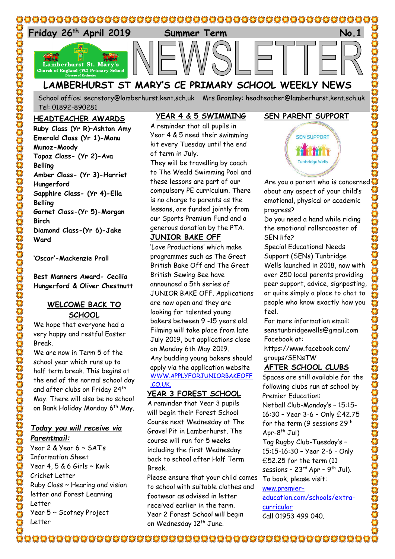

School office: [secretary@lamberhurst.kent.sch.uk](mailto:secretary@lamberhurst.kent.sch.uk) Mrs Bromley: headteacher@lamberhurst.kent.sch.uk Tel: 01892-890281

#### **HEADTEACHER AWARDS**

**Ruby Class (Yr R)–Ashton Amy Emerald Class (Yr 1)-Manu Munoz-Moody Topaz Class- (Yr 2)-Ava Belling Amber Class- (Yr 3)-Harriet Hungerford Sapphire Class- (Yr 4)-Ella Belling Garnet Class-(Yr 5)-Morgan Birch Diamond Class-(Yr 6)-Jake Ward**

**'Oscar'-Mackenzie Prall**

**Best Manners Award- Cecilia Hungerford & Oliver Chestnutt**

## **WELCOME BACK TO SCHOOL**

We hope that everyone had a very happy and restful Easter Break.

We are now in Term 5 of the school year which runs up to half term break. This begins at the end of the normal school day and after clubs on Friday 24<sup>th</sup> May. There will also be no school on Bank Holiday Monday 6<sup>th</sup> May.

## *Today you will receive via Parentmail:*

Year 2 & Year  $6 \sim$  SATs Information Sheet Year 4,  $5 & 6$  Girls  $\sim$  Kwik Cricket Letter Ruby Class ~ Hearing and vision letter and Forest Learning Letter Year 5 ~ Scotney Project Letter

### **YEAR 4 & 5 SWIMMING**

A reminder that all pupils in Year 4 & 5 need their swimming kit every Tuesday until the end of term in July.

They will be travelling by coach to The Weald Swimming Pool and these lessons are part of our compulsory PE curriculum. There is no charge to parents as the lessons, are funded jointly from our Sports Premium Fund and a generous donation by the PTA.

## **JUNIOR BAKE OFF**

'Love Productions' which make programmes such as The Great British Bake Off and The Great British Sewing Bee have announced a 5th series of JUNIOR BAKE OFF. Applications are now open and they are looking for talented young bakers between 9 -15 years old. Filming will take place from late July 2019, but applications close on Monday 6th May 2019. Any budding young bakers should apply via the application website [WWW.APPLYFORJUNIORBAKEOFF](WWW.APPLYFORJUNIORBAKEOFF.CO.UK.) [.CO.UK.](WWW.APPLYFORJUNIORBAKEOFF.CO.UK.)

#### **YEAR 3 FOREST SCHOOL**

A reminder that Year 3 pupils will begin their Forest School Course next Wednesday at The Gravel Pit in Lamberhurst. The course will run for 5 weeks including the first Wednesday back to school after Half Term Break.

Please ensure that your child comes to school with suitable clothes and footwear as advised in letter received earlier in the term. Year 2 Forest School will begin on Wednesday 12<sup>th</sup> June.

# **SEN PARENT SUPPORT**

OOOOOOOOOOOOOOO

SOSOS SOSOS

 $\sum_{n=1}^{\infty}$ 

C

UNIONANOONAANOO



Are you a parent who is concerned about any aspect of your child's emotional, physical or academic progress?

Do you need a hand while riding the emotional rollercoaster of SEN life?

Special Educational Needs Support (SENs) Tunbridge Wells launched in 2018, now with over 250 local parents providing peer support, advice, signposting, or quite simply a place to chat to people who know exactly how you feel.

For more information email: senstunbridgewells@gmail.com Facebook at:

https://www.facebook.com/ groups/SENsTW

# **AFTER SCHOOL CLUBS**

Spaces are still available for the following clubs run at school by Premier Education:

Netball Club-Monday's – 15:15- 16:30 – Year 3-6 – Only £42.75 for the term (9 sessions 29<sup>th</sup> Apr-8<sup>th</sup> Jul)

Tag Rugby Club-Tuesday's – 15:15-16:30 – Year 2-6 - Only £52.25 for the term (11 sessions – 23<sup>rd</sup> Apr – 9<sup>th</sup> Jul). To book, please visit:

[www.premier](https://gbr01.safelinks.protection.outlook.com/?url=http%3A%2F%2Fwww.premier-education.com%2Fschools%2Fextra-curricular&data=02%7C01%7Cmfinch%40premier-education.com%7C0ba21e891c464203945f08d6b8ed8380%7C8835ddcdaaad45a4a5114b9182e0554a%7C0%7C1%7C636899727580634820&sdata=foWU38Fof5yJJ1XYfSI7OsFYJjgnWZ3Ax9OLk9Timns%3D&reserved=0)[education.com/schools/extra](https://gbr01.safelinks.protection.outlook.com/?url=http%3A%2F%2Fwww.premier-education.com%2Fschools%2Fextra-curricular&data=02%7C01%7Cmfinch%40premier-education.com%7C0ba21e891c464203945f08d6b8ed8380%7C8835ddcdaaad45a4a5114b9182e0554a%7C0%7C1%7C636899727580634820&sdata=foWU38Fof5yJJ1XYfSI7OsFYJjgnWZ3Ax9OLk9Timns%3D&reserved=0)[curricular](https://gbr01.safelinks.protection.outlook.com/?url=http%3A%2F%2Fwww.premier-education.com%2Fschools%2Fextra-curricular&data=02%7C01%7Cmfinch%40premier-education.com%7C0ba21e891c464203945f08d6b8ed8380%7C8835ddcdaaad45a4a5114b9182e0554a%7C0%7C1%7C636899727580634820&sdata=foWU38Fof5yJJ1XYfSI7OsFYJjgnWZ3Ax9OLk9Timns%3D&reserved=0) Call 01953 499 040.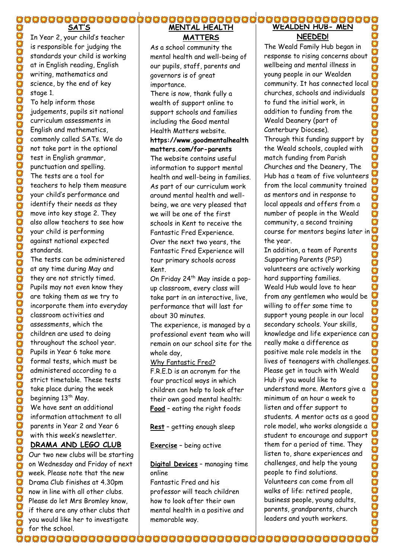**SAT'S** In Year 2, your child's teacher is responsible for judging the standards your child is working at in English reading, English writing, mathematics and science, by the end of key stage 1.

To help inform those judgements, pupils sit national curriculum assessments in English and mathematics, commonly called SATs. We do not take part in the optional test in English grammar, punctuation and spelling. The tests are a tool for teachers to help them measure your child's performance and identify their needs as they move into key stage 2. They also allow teachers to see how your child is performing against national expected standards.

The tests can be administered at any time during May and they are not strictly timed. Pupils may not even know they are taking them as we try to incorporate them into everyday classroom activities and assessments, which the children are used to doing throughout the school year. Pupils in Year 6 take more formal tests, which must be administered according to a strict timetable. These tests take place during the week beginning 13<sup>th</sup> May. We have sent an additional information attachment to all parents in Year 2 and Year 6 with this week's newsletter. **DRAMA AND LEGO CLUB**

Our two new clubs will be starting on Wednesday and Friday of next week. Please note that the new Drama Club finishes at 4.30pm now in line with all other clubs. Please do let Mrs Bromley know, if there are any other clubs that you would like her to investigate for the school.

# **MENTAL HEALTH MATTERS**

As a school community the mental health and well-being of our pupils, staff, parents and governors is of great importance.

There is now, thank fully a wealth of support online to support schools and families including the Good mental Health Matters website. **https://www.goodmentalhealth matters.com/for-parents** The website contains useful information to support mental health and well-being in families. As part of our curriculum work around mental health and wellbeing, we are very pleased that we will be one of the first schools in Kent to receive the Fantastic Fred Experience. Over the next two years, the Fantastic Fred Experience will tour primary schools across

Kent.

On Friday 24<sup>th</sup> May inside a popup classroom, every class will take part in an interactive, live, performance that will last for about 30 minutes.

The experience, is managed by a professional event team who will remain on our school site for the whole day,

Why Fantastic Fred?

F.R.E.D is an acronym for the four practical ways in which children can help to look after their own good mental health: **Food** – eating the right foods

**Rest** – getting enough sleep

**Exercise** – being active

**Digital Devices** – managing time online

Fantastic Fred and his professor will teach children how to look after their own mental health in a positive and memorable way.

#### **WEALDEN HUB- MEN NEEDED!**

The Weald Family Hub began in response to rising concerns about wellbeing and mental illness in young people in our Wealden community. It has connected local churches, schools and individuals to fund the initial work, in OF OF OFFICERS addition to funding from the Weald Deanery (part of Canterbury Diocese). Through this funding support by the Weald schools, coupled with match funding from Parish Churches and the Deanery, The Hub has a team of five volunteers from the local community trained as mentors and in response to local appeals and offers from a  $\ddot{O}$ number of people in the Weald community, a second training course for mentors begins later in the year.

In addition, a team of Parents **SOFTWARE** Supporting Parents (PSP) volunteers are actively working hard supporting families. Weald Hub would love to hear Ö from any gentlemen who would be willing to offer some time to support young people in our local secondary schools. Your skills, knowledge and life experience can really make a difference as positive male role models in the lives of teenagers with challenges. Please get in touch with Weald Hub if you would like to understand more. Mentors give a minimum of an hour a week to listen and offer support to students. A mentor acts as a good role model, who works alongside a student to encourage and support them for a period of time. They listen to, share experiences and ooderander challenges, and help the young people to find solutions. Volunteers can come from all walks of life: retired people, business people, young adults, parents, grandparents, church leaders and youth workers.